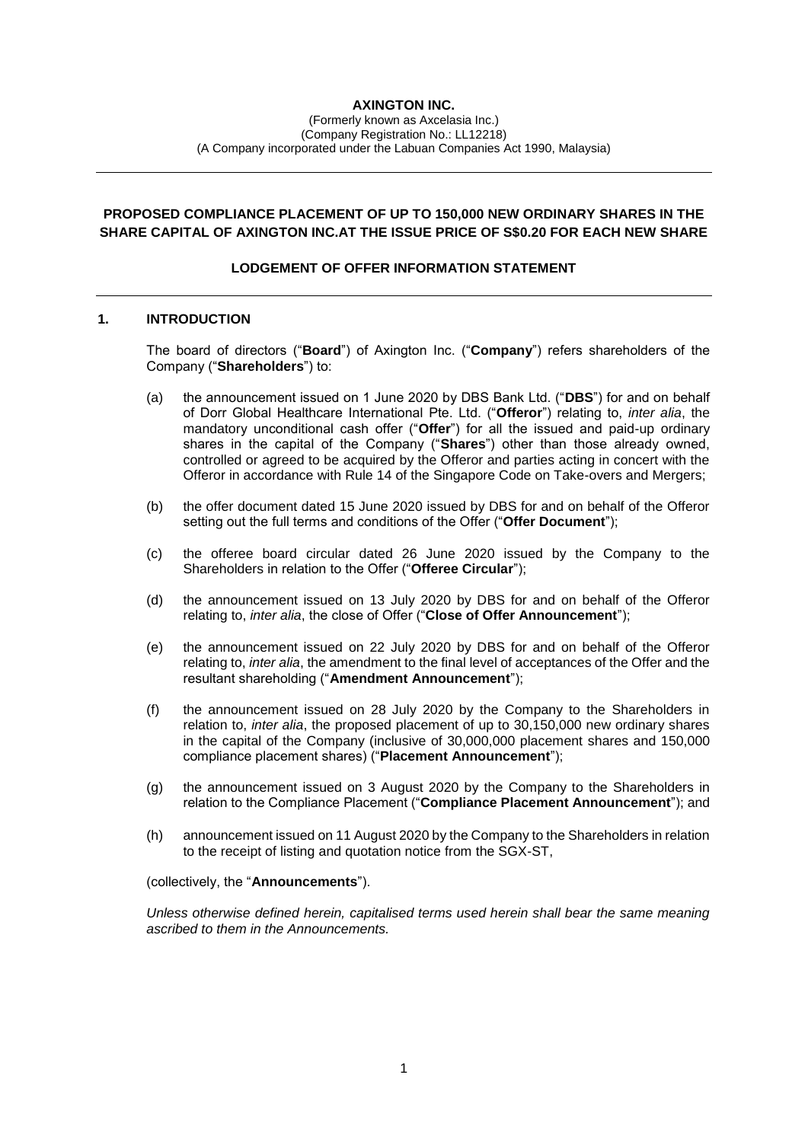# **AXINGTON INC.**

(Formerly known as Axcelasia Inc.) (Company Registration No.: LL12218) (A Company incorporated under the Labuan Companies Act 1990, Malaysia)

# **PROPOSED COMPLIANCE PLACEMENT OF UP TO 150,000 NEW ORDINARY SHARES IN THE SHARE CAPITAL OF AXINGTON INC.AT THE ISSUE PRICE OF S\$0.20 FOR EACH NEW SHARE**

### **LODGEMENT OF OFFER INFORMATION STATEMENT**

#### **1. INTRODUCTION**

The board of directors ("**Board**") of Axington Inc. ("**Company**") refers shareholders of the Company ("**Shareholders**") to:

- (a) the announcement issued on 1 June 2020 by DBS Bank Ltd. ("**DBS**") for and on behalf of Dorr Global Healthcare International Pte. Ltd. ("**Offeror**") relating to, *inter alia*, the mandatory unconditional cash offer ("**Offer**") for all the issued and paid-up ordinary shares in the capital of the Company ("**Shares**") other than those already owned, controlled or agreed to be acquired by the Offeror and parties acting in concert with the Offeror in accordance with Rule 14 of the Singapore Code on Take-overs and Mergers;
- (b) the offer document dated 15 June 2020 issued by DBS for and on behalf of the Offeror setting out the full terms and conditions of the Offer ("**Offer Document**");
- (c) the offeree board circular dated 26 June 2020 issued by the Company to the Shareholders in relation to the Offer ("**Offeree Circular**");
- (d) the announcement issued on 13 July 2020 by DBS for and on behalf of the Offeror relating to, *inter alia*, the close of Offer ("**Close of Offer Announcement**");
- (e) the announcement issued on 22 July 2020 by DBS for and on behalf of the Offeror relating to, *inter alia*, the amendment to the final level of acceptances of the Offer and the resultant shareholding ("**Amendment Announcement**");
- (f) the announcement issued on 28 July 2020 by the Company to the Shareholders in relation to, *inter alia*, the proposed placement of up to 30,150,000 new ordinary shares in the capital of the Company (inclusive of 30,000,000 placement shares and 150,000 compliance placement shares) ("**Placement Announcement**");
- (g) the announcement issued on 3 August 2020 by the Company to the Shareholders in relation to the Compliance Placement ("**Compliance Placement Announcement**"); and
- (h) announcement issued on 11 August 2020 by the Company to the Shareholders in relation to the receipt of listing and quotation notice from the SGX-ST,

(collectively, the "**Announcements**").

*Unless otherwise defined herein, capitalised terms used herein shall bear the same meaning ascribed to them in the Announcements.*